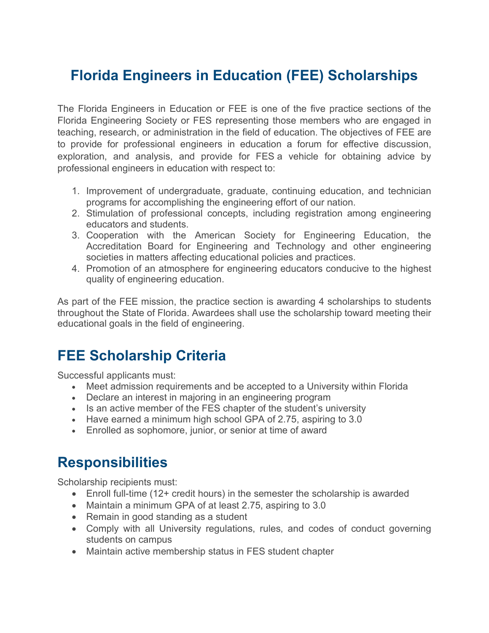## **Florida Engineers in Education (FEE) Scholarships**

The Florida Engineers in Education or FEE is one of the five practice sections of the Florida Engineering Society or FES representing those members who are engaged in teaching, research, or administration in the field of education. The objectives of FEE are to provide for professional engineers in education a forum for effective discussion, exploration, and analysis, and provide for FES a vehicle for obtaining advice by professional engineers in education with respect to:

- 1. Improvement of undergraduate, graduate, continuing education, and technician programs for accomplishing the engineering effort of our nation.
- 2. Stimulation of professional concepts, including registration among engineering educators and students.
- 3. Cooperation with the American Society for Engineering Education, the Accreditation Board for Engineering and Technology and other engineering societies in matters affecting educational policies and practices.
- 4. Promotion of an atmosphere for engineering educators conducive to the highest quality of engineering education.

As part of the FEE mission, the practice section is awarding 4 scholarships to students throughout the State of Florida. Awardees shall use the scholarship toward meeting their educational goals in the field of engineering.

#### **FEE Scholarship Criteria**

Successful applicants must:

- Meet admission requirements and be accepted to a University within Florida
- Declare an interest in majoring in an engineering program
- Is an active member of the FES chapter of the student's university
- Have earned a minimum high school GPA of 2.75, aspiring to 3.0
- Enrolled as sophomore, junior, or senior at time of award

#### **Responsibilities**

Scholarship recipients must:

- Enroll full-time (12+ credit hours) in the semester the scholarship is awarded
- Maintain a minimum GPA of at least 2.75, aspiring to 3.0
- Remain in good standing as a student
- Comply with all University regulations, rules, and codes of conduct governing students on campus
- Maintain active membership status in FES student chapter